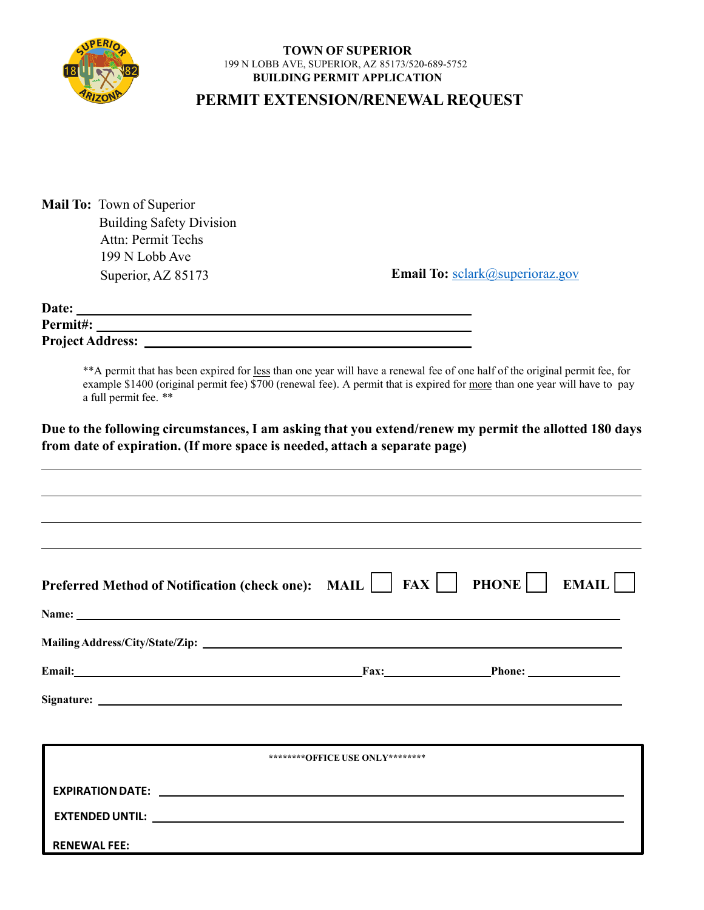

## **TOWN OF SUPERIOR** 199 N LOBB AVE, SUPERIOR, AZ 85173/520-689-5752 **BUILDING PERMIT APPLICATION**

## **PERMIT EXTENSION/RENEWAL REQUEST**

| <b>Mail To:</b> Town of Superior |
|----------------------------------|
| <b>Building Safety Division</b>  |
| Attn: Permit Techs               |
| 199 N Lobb Ave                   |
| Superior, AZ 85173               |
|                                  |

Email To: sclark@superioraz.gov

| Date:                   |  |
|-------------------------|--|
| Permit#:                |  |
| <b>Project Address:</b> |  |

\*\*A permit that has been expired for less than one year will have a renewal fee of one half of the original permit fee, for example \$1400 (original permit fee) \$700 (renewal fee). A permit that is expired for more than one year will have to pay a full permit fee. \*\*

**Due to the following circumstances, I am asking that you extend/renew my permit the allotted 180 days from date of expiration. (If more space is needed, attach a separate page)**

| Preferred Method of Notification (check one): MAIL $\boxed{\phantom{\cdot}}$ FAX $\boxed{\phantom{\cdot}}$ PHONE EMAIL $\boxed{\phantom{\cdot}}$                                                                               |                                 |  |
|--------------------------------------------------------------------------------------------------------------------------------------------------------------------------------------------------------------------------------|---------------------------------|--|
|                                                                                                                                                                                                                                |                                 |  |
|                                                                                                                                                                                                                                |                                 |  |
| Email: Phone: Phone: Phone: Phone: Phone: Phone: Phone: Phone: Phone: Phone: Phone: Phone: Phone: Phone: Phone: Phone: Phone: Phone: Phone: Phone: Phone: Phone: Phone: Phone: Phone: Phone: Phone: Phone: Phone: Phone: Phone |                                 |  |
|                                                                                                                                                                                                                                |                                 |  |
|                                                                                                                                                                                                                                |                                 |  |
|                                                                                                                                                                                                                                | ********OFFICE USE ONLY******** |  |
|                                                                                                                                                                                                                                |                                 |  |
|                                                                                                                                                                                                                                |                                 |  |
| <b>RENEWAL FEE:</b>                                                                                                                                                                                                            |                                 |  |